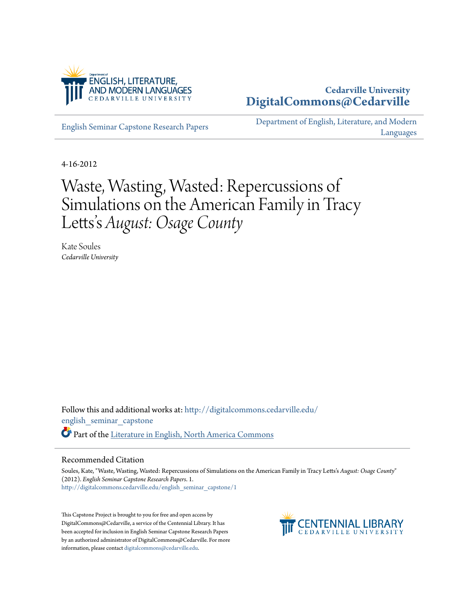

## **Cedarville University [DigitalCommons@Cedarville](http://digitalcommons.cedarville.edu?utm_source=digitalcommons.cedarville.edu%2Fenglish_seminar_capstone%2F1&utm_medium=PDF&utm_campaign=PDFCoverPages)**

[English Seminar Capstone Research Papers](http://digitalcommons.cedarville.edu/english_seminar_capstone?utm_source=digitalcommons.cedarville.edu%2Fenglish_seminar_capstone%2F1&utm_medium=PDF&utm_campaign=PDFCoverPages)

[Department of English, Literature, and Modern](http://digitalcommons.cedarville.edu/english_literature_modern_languages?utm_source=digitalcommons.cedarville.edu%2Fenglish_seminar_capstone%2F1&utm_medium=PDF&utm_campaign=PDFCoverPages) [Languages](http://digitalcommons.cedarville.edu/english_literature_modern_languages?utm_source=digitalcommons.cedarville.edu%2Fenglish_seminar_capstone%2F1&utm_medium=PDF&utm_campaign=PDFCoverPages)

4-16-2012

## Waste, Wasting, Wasted: Repercussions of Simulations on the American Family in Tracy Letts s *August: Osage County* י<br>' י

Kate Soules *Cedarville University*

Follow this and additional works at: [http://digitalcommons.cedarville.edu/](http://digitalcommons.cedarville.edu/english_seminar_capstone?utm_source=digitalcommons.cedarville.edu%2Fenglish_seminar_capstone%2F1&utm_medium=PDF&utm_campaign=PDFCoverPages) [english\\_seminar\\_capstone](http://digitalcommons.cedarville.edu/english_seminar_capstone?utm_source=digitalcommons.cedarville.edu%2Fenglish_seminar_capstone%2F1&utm_medium=PDF&utm_campaign=PDFCoverPages) Part of the [Literature in English, North America Commons](http://network.bepress.com/hgg/discipline/458?utm_source=digitalcommons.cedarville.edu%2Fenglish_seminar_capstone%2F1&utm_medium=PDF&utm_campaign=PDFCoverPages)

## Recommended Citation

Soules, Kate, "Waste, Wasting, Wasted: Repercussions of Simulations on the American Family in Tracy Letts's *August: Osage County*" (2012). *English Seminar Capstone Research Papers*. 1. [http://digitalcommons.cedarville.edu/english\\_seminar\\_capstone/1](http://digitalcommons.cedarville.edu/english_seminar_capstone/1?utm_source=digitalcommons.cedarville.edu%2Fenglish_seminar_capstone%2F1&utm_medium=PDF&utm_campaign=PDFCoverPages)

This Capstone Project is brought to you for free and open access by DigitalCommons@Cedarville, a service of the Centennial Library. It has been accepted for inclusion in English Seminar Capstone Research Papers by an authorized administrator of DigitalCommons@Cedarville. For more information, please contact [digitalcommons@cedarville.edu.](mailto:digitalcommons@cedarville.edu)

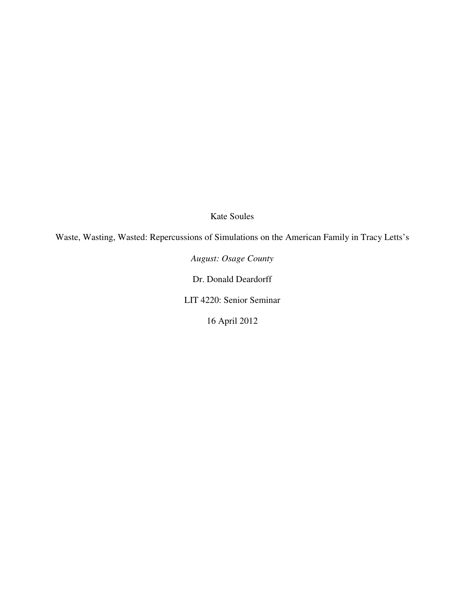Kate Soules

Waste, Wasting, Wasted: Repercussions of Simulations on the American Family in Tracy Letts's

*August: Osage County*

Dr. Donald Deardorff

LIT 4220: Senior Seminar

16 April 2012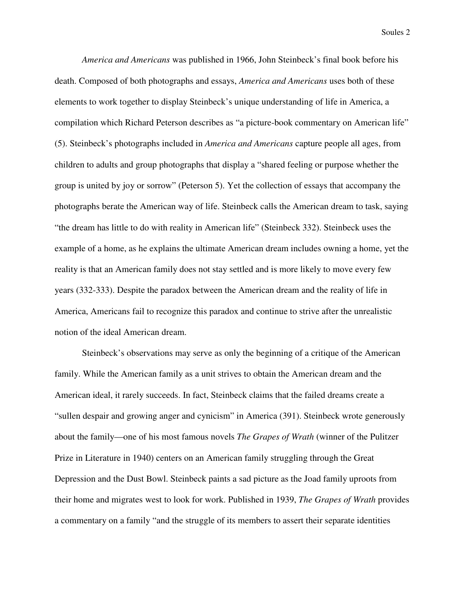*America and Americans* was published in 1966, John Steinbeck's final book before his death. Composed of both photographs and essays, *America and Americans* uses both of these elements to work together to display Steinbeck's unique understanding of life in America, a compilation which Richard Peterson describes as "a picture-book commentary on American life" (5). Steinbeck's photographs included in *America and Americans* capture people all ages, from children to adults and group photographs that display a "shared feeling or purpose whether the group is united by joy or sorrow" (Peterson 5). Yet the collection of essays that accompany the photographs berate the American way of life. Steinbeck calls the American dream to task, saying "the dream has little to do with reality in American life" (Steinbeck 332). Steinbeck uses the example of a home, as he explains the ultimate American dream includes owning a home, yet the reality is that an American family does not stay settled and is more likely to move every few years (332-333). Despite the paradox between the American dream and the reality of life in America, Americans fail to recognize this paradox and continue to strive after the unrealistic notion of the ideal American dream.

 Steinbeck's observations may serve as only the beginning of a critique of the American family. While the American family as a unit strives to obtain the American dream and the American ideal, it rarely succeeds. In fact, Steinbeck claims that the failed dreams create a "sullen despair and growing anger and cynicism" in America (391). Steinbeck wrote generously about the family—one of his most famous novels *The Grapes of Wrath* (winner of the Pulitzer Prize in Literature in 1940) centers on an American family struggling through the Great Depression and the Dust Bowl. Steinbeck paints a sad picture as the Joad family uproots from their home and migrates west to look for work. Published in 1939, *The Grapes of Wrath* provides a commentary on a family "and the struggle of its members to assert their separate identities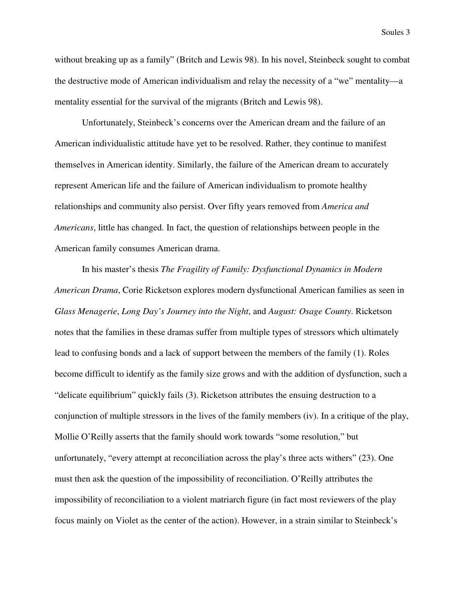without breaking up as a family" (Britch and Lewis 98). In his novel, Steinbeck sought to combat the destructive mode of American individualism and relay the necessity of a "we" mentality—a mentality essential for the survival of the migrants (Britch and Lewis 98).

 Unfortunately, Steinbeck's concerns over the American dream and the failure of an American individualistic attitude have yet to be resolved. Rather, they continue to manifest themselves in American identity. Similarly, the failure of the American dream to accurately represent American life and the failure of American individualism to promote healthy relationships and community also persist. Over fifty years removed from *America and Americans*, little has changed. In fact, the question of relationships between people in the American family consumes American drama.

In his master's thesis *The Fragility of Family: Dysfunctional Dynamics in Modern American Drama*, Corie Ricketson explores modern dysfunctional American families as seen in *Glass Menagerie*, *Long Day's Journey into the Night*, and *August: Osage County*. Ricketson notes that the families in these dramas suffer from multiple types of stressors which ultimately lead to confusing bonds and a lack of support between the members of the family (1). Roles become difficult to identify as the family size grows and with the addition of dysfunction, such a "delicate equilibrium" quickly fails (3). Ricketson attributes the ensuing destruction to a conjunction of multiple stressors in the lives of the family members (iv). In a critique of the play, Mollie O'Reilly asserts that the family should work towards "some resolution," but unfortunately, "every attempt at reconciliation across the play's three acts withers" (23). One must then ask the question of the impossibility of reconciliation. O'Reilly attributes the impossibility of reconciliation to a violent matriarch figure (in fact most reviewers of the play focus mainly on Violet as the center of the action). However, in a strain similar to Steinbeck's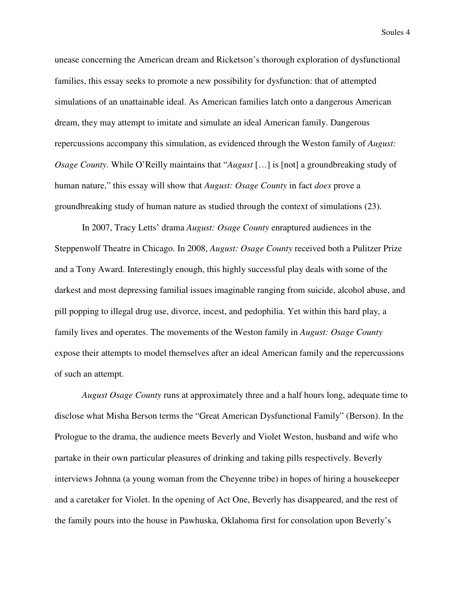unease concerning the American dream and Ricketson's thorough exploration of dysfunctional families, this essay seeks to promote a new possibility for dysfunction: that of attempted simulations of an unattainable ideal. As American families latch onto a dangerous American dream, they may attempt to imitate and simulate an ideal American family. Dangerous repercussions accompany this simulation, as evidenced through the Weston family of *August: Osage County*. While O'Reilly maintains that "*August* […] is [not] a groundbreaking study of human nature," this essay will show that *August: Osage County* in fact *does* prove a groundbreaking study of human nature as studied through the context of simulations (23).

In 2007, Tracy Letts' drama *August: Osage County* enraptured audiences in the Steppenwolf Theatre in Chicago. In 2008, *August: Osage County* received both a Pulitzer Prize and a Tony Award. Interestingly enough, this highly successful play deals with some of the darkest and most depressing familial issues imaginable ranging from suicide, alcohol abuse, and pill popping to illegal drug use, divorce, incest, and pedophilia. Yet within this hard play, a family lives and operates. The movements of the Weston family in *August: Osage County* expose their attempts to model themselves after an ideal American family and the repercussions of such an attempt.

*August Osage County* runs at approximately three and a half hours long, adequate time to disclose what Misha Berson terms the "Great American Dysfunctional Family" (Berson). In the Prologue to the drama, the audience meets Beverly and Violet Weston, husband and wife who partake in their own particular pleasures of drinking and taking pills respectively. Beverly interviews Johnna (a young woman from the Cheyenne tribe) in hopes of hiring a housekeeper and a caretaker for Violet. In the opening of Act One, Beverly has disappeared, and the rest of the family pours into the house in Pawhuska, Oklahoma first for consolation upon Beverly's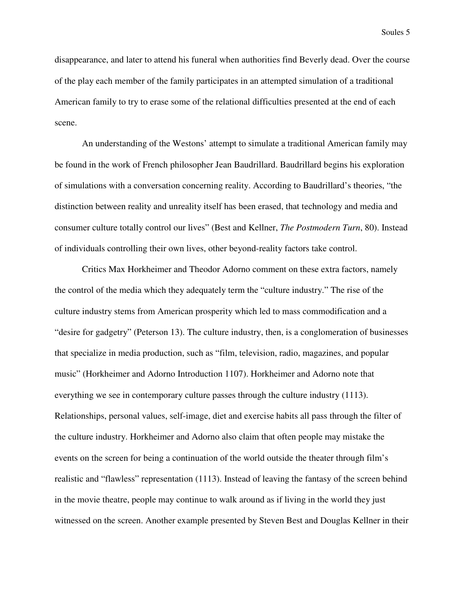disappearance, and later to attend his funeral when authorities find Beverly dead. Over the course of the play each member of the family participates in an attempted simulation of a traditional American family to try to erase some of the relational difficulties presented at the end of each scene.

 An understanding of the Westons' attempt to simulate a traditional American family may be found in the work of French philosopher Jean Baudrillard. Baudrillard begins his exploration of simulations with a conversation concerning reality. According to Baudrillard's theories, "the distinction between reality and unreality itself has been erased, that technology and media and consumer culture totally control our lives" (Best and Kellner, *The Postmodern Turn*, 80). Instead of individuals controlling their own lives, other beyond-reality factors take control.

Critics Max Horkheimer and Theodor Adorno comment on these extra factors, namely the control of the media which they adequately term the "culture industry." The rise of the culture industry stems from American prosperity which led to mass commodification and a "desire for gadgetry" (Peterson 13). The culture industry, then, is a conglomeration of businesses that specialize in media production, such as "film, television, radio, magazines, and popular music" (Horkheimer and Adorno Introduction 1107). Horkheimer and Adorno note that everything we see in contemporary culture passes through the culture industry (1113). Relationships, personal values, self-image, diet and exercise habits all pass through the filter of the culture industry. Horkheimer and Adorno also claim that often people may mistake the events on the screen for being a continuation of the world outside the theater through film's realistic and "flawless" representation (1113). Instead of leaving the fantasy of the screen behind in the movie theatre, people may continue to walk around as if living in the world they just witnessed on the screen. Another example presented by Steven Best and Douglas Kellner in their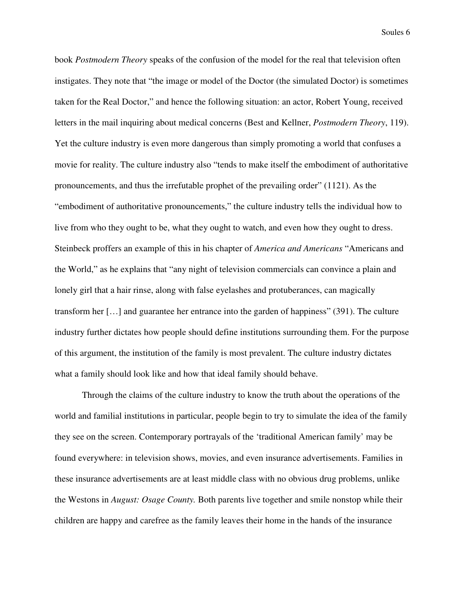book *Postmodern Theory* speaks of the confusion of the model for the real that television often instigates. They note that "the image or model of the Doctor (the simulated Doctor) is sometimes taken for the Real Doctor," and hence the following situation: an actor, Robert Young, received letters in the mail inquiring about medical concerns (Best and Kellner, *Postmodern Theory*, 119). Yet the culture industry is even more dangerous than simply promoting a world that confuses a movie for reality. The culture industry also "tends to make itself the embodiment of authoritative pronouncements, and thus the irrefutable prophet of the prevailing order" (1121). As the "embodiment of authoritative pronouncements," the culture industry tells the individual how to live from who they ought to be, what they ought to watch, and even how they ought to dress. Steinbeck proffers an example of this in his chapter of *America and Americans* "Americans and the World," as he explains that "any night of television commercials can convince a plain and lonely girl that a hair rinse, along with false eyelashes and protuberances, can magically transform her […] and guarantee her entrance into the garden of happiness" (391). The culture industry further dictates how people should define institutions surrounding them. For the purpose of this argument, the institution of the family is most prevalent. The culture industry dictates what a family should look like and how that ideal family should behave.

Through the claims of the culture industry to know the truth about the operations of the world and familial institutions in particular, people begin to try to simulate the idea of the family they see on the screen. Contemporary portrayals of the 'traditional American family' may be found everywhere: in television shows, movies, and even insurance advertisements. Families in these insurance advertisements are at least middle class with no obvious drug problems, unlike the Westons in *August: Osage County.* Both parents live together and smile nonstop while their children are happy and carefree as the family leaves their home in the hands of the insurance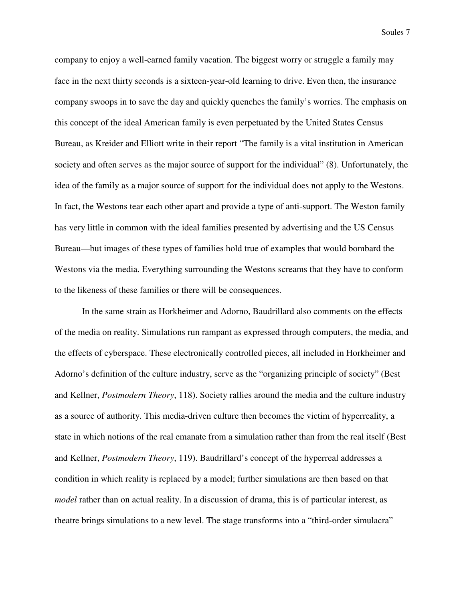company to enjoy a well-earned family vacation. The biggest worry or struggle a family may face in the next thirty seconds is a sixteen-year-old learning to drive. Even then, the insurance company swoops in to save the day and quickly quenches the family's worries. The emphasis on this concept of the ideal American family is even perpetuated by the United States Census Bureau, as Kreider and Elliott write in their report "The family is a vital institution in American society and often serves as the major source of support for the individual" (8). Unfortunately, the idea of the family as a major source of support for the individual does not apply to the Westons. In fact, the Westons tear each other apart and provide a type of anti-support. The Weston family has very little in common with the ideal families presented by advertising and the US Census Bureau—but images of these types of families hold true of examples that would bombard the Westons via the media. Everything surrounding the Westons screams that they have to conform to the likeness of these families or there will be consequences.

In the same strain as Horkheimer and Adorno, Baudrillard also comments on the effects of the media on reality. Simulations run rampant as expressed through computers, the media, and the effects of cyberspace. These electronically controlled pieces, all included in Horkheimer and Adorno's definition of the culture industry, serve as the "organizing principle of society" (Best and Kellner, *Postmodern Theory*, 118). Society rallies around the media and the culture industry as a source of authority. This media-driven culture then becomes the victim of hyperreality, a state in which notions of the real emanate from a simulation rather than from the real itself (Best and Kellner, *Postmodern Theory*, 119). Baudrillard's concept of the hyperreal addresses a condition in which reality is replaced by a model; further simulations are then based on that *model* rather than on actual reality. In a discussion of drama, this is of particular interest, as theatre brings simulations to a new level. The stage transforms into a "third-order simulacra"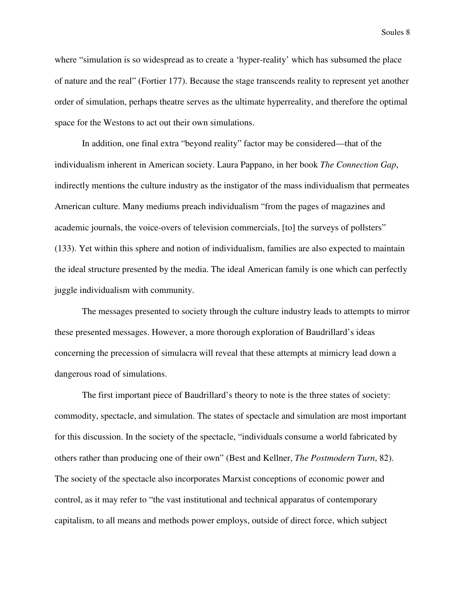where "simulation is so widespread as to create a 'hyper-reality' which has subsumed the place of nature and the real" (Fortier 177). Because the stage transcends reality to represent yet another order of simulation, perhaps theatre serves as the ultimate hyperreality, and therefore the optimal space for the Westons to act out their own simulations.

In addition, one final extra "beyond reality" factor may be considered—that of the individualism inherent in American society. Laura Pappano, in her book *The Connection Gap*, indirectly mentions the culture industry as the instigator of the mass individualism that permeates American culture. Many mediums preach individualism "from the pages of magazines and academic journals, the voice-overs of television commercials, [to] the surveys of pollsters" (133). Yet within this sphere and notion of individualism, families are also expected to maintain the ideal structure presented by the media. The ideal American family is one which can perfectly juggle individualism with community.

The messages presented to society through the culture industry leads to attempts to mirror these presented messages. However, a more thorough exploration of Baudrillard's ideas concerning the precession of simulacra will reveal that these attempts at mimicry lead down a dangerous road of simulations.

The first important piece of Baudrillard's theory to note is the three states of society: commodity, spectacle, and simulation. The states of spectacle and simulation are most important for this discussion. In the society of the spectacle, "individuals consume a world fabricated by others rather than producing one of their own" (Best and Kellner, *The Postmodern Turn*, 82). The society of the spectacle also incorporates Marxist conceptions of economic power and control, as it may refer to "the vast institutional and technical apparatus of contemporary capitalism, to all means and methods power employs, outside of direct force, which subject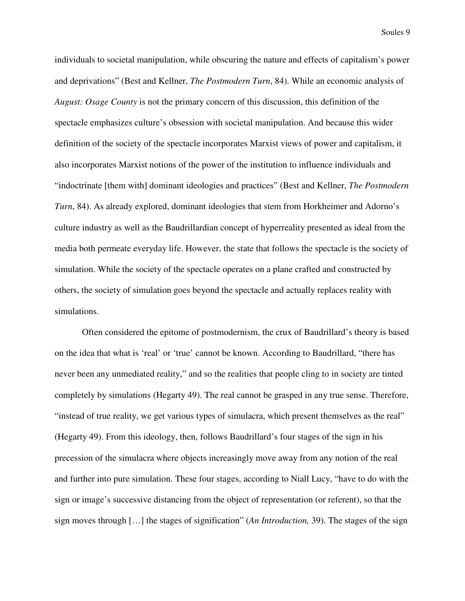individuals to societal manipulation, while obscuring the nature and effects of capitalism's power and deprivations" (Best and Kellner, *The Postmodern Turn*, 84). While an economic analysis of *August: Osage County* is not the primary concern of this discussion, this definition of the spectacle emphasizes culture's obsession with societal manipulation. And because this wider definition of the society of the spectacle incorporates Marxist views of power and capitalism, it also incorporates Marxist notions of the power of the institution to influence individuals and "indoctrinate [them with] dominant ideologies and practices" (Best and Kellner, *The Postmodern Turn*, 84). As already explored, dominant ideologies that stem from Horkheimer and Adorno's culture industry as well as the Baudrillardian concept of hyperreality presented as ideal from the media both permeate everyday life. However, the state that follows the spectacle is the society of simulation. While the society of the spectacle operates on a plane crafted and constructed by others, the society of simulation goes beyond the spectacle and actually replaces reality with simulations.

Often considered the epitome of postmodernism, the crux of Baudrillard's theory is based on the idea that what is 'real' or 'true' cannot be known. According to Baudrillard, "there has never been any unmediated reality," and so the realities that people cling to in society are tinted completely by simulations (Hegarty 49). The real cannot be grasped in any true sense. Therefore, "instead of true reality, we get various types of simulacra, which present themselves as the real" (Hegarty 49). From this ideology, then, follows Baudrillard's four stages of the sign in his precession of the simulacra where objects increasingly move away from any notion of the real and further into pure simulation. These four stages, according to Niall Lucy, "have to do with the sign or image's successive distancing from the object of representation (or referent), so that the sign moves through […] the stages of signification" (*An Introduction,* 39). The stages of the sign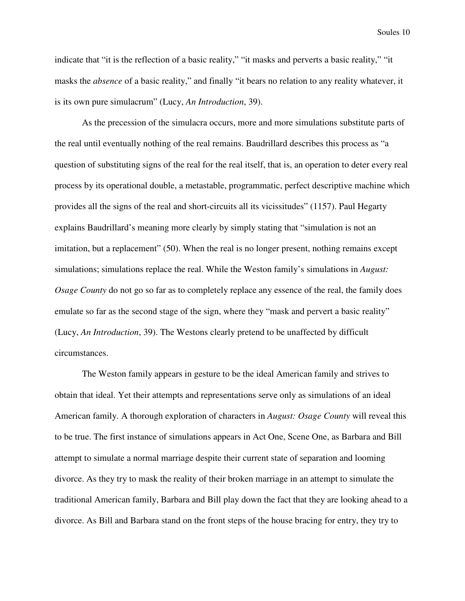indicate that "it is the reflection of a basic reality," "it masks and perverts a basic reality," "it masks the *absence* of a basic reality," and finally "it bears no relation to any reality whatever, it is its own pure simulacrum" (Lucy, *An Introduction*, 39).

As the precession of the simulacra occurs, more and more simulations substitute parts of the real until eventually nothing of the real remains. Baudrillard describes this process as "a question of substituting signs of the real for the real itself, that is, an operation to deter every real process by its operational double, a metastable, programmatic, perfect descriptive machine which provides all the signs of the real and short-circuits all its vicissitudes" (1157). Paul Hegarty explains Baudrillard's meaning more clearly by simply stating that "simulation is not an imitation, but a replacement" (50). When the real is no longer present, nothing remains except simulations; simulations replace the real. While the Weston family's simulations in *August: Osage County* do not go so far as to completely replace any essence of the real, the family does emulate so far as the second stage of the sign, where they "mask and pervert a basic reality" (Lucy, *An Introduction*, 39). The Westons clearly pretend to be unaffected by difficult circumstances.

The Weston family appears in gesture to be the ideal American family and strives to obtain that ideal. Yet their attempts and representations serve only as simulations of an ideal American family. A thorough exploration of characters in *August: Osage County* will reveal this to be true. The first instance of simulations appears in Act One, Scene One, as Barbara and Bill attempt to simulate a normal marriage despite their current state of separation and looming divorce. As they try to mask the reality of their broken marriage in an attempt to simulate the traditional American family, Barbara and Bill play down the fact that they are looking ahead to a divorce. As Bill and Barbara stand on the front steps of the house bracing for entry, they try to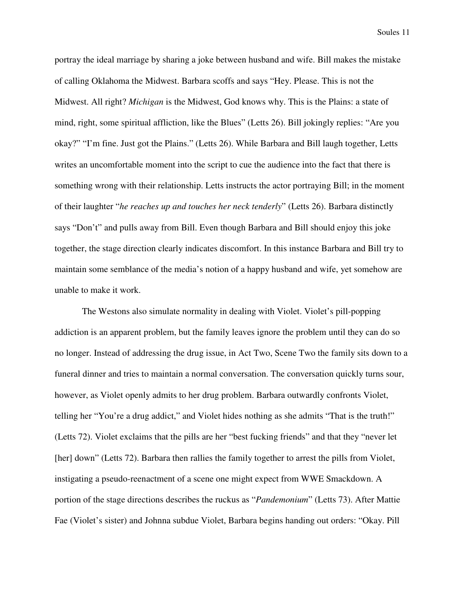portray the ideal marriage by sharing a joke between husband and wife. Bill makes the mistake of calling Oklahoma the Midwest. Barbara scoffs and says "Hey. Please. This is not the Midwest. All right? *Michigan* is the Midwest, God knows why. This is the Plains: a state of mind, right, some spiritual affliction, like the Blues" (Letts 26). Bill jokingly replies: "Are you okay?" "I'm fine. Just got the Plains." (Letts 26). While Barbara and Bill laugh together, Letts writes an uncomfortable moment into the script to cue the audience into the fact that there is something wrong with their relationship. Letts instructs the actor portraying Bill; in the moment of their laughter "*he reaches up and touches her neck tenderly*" (Letts 26). Barbara distinctly says "Don't" and pulls away from Bill. Even though Barbara and Bill should enjoy this joke together, the stage direction clearly indicates discomfort. In this instance Barbara and Bill try to maintain some semblance of the media's notion of a happy husband and wife, yet somehow are unable to make it work.

The Westons also simulate normality in dealing with Violet. Violet's pill-popping addiction is an apparent problem, but the family leaves ignore the problem until they can do so no longer. Instead of addressing the drug issue, in Act Two, Scene Two the family sits down to a funeral dinner and tries to maintain a normal conversation. The conversation quickly turns sour, however, as Violet openly admits to her drug problem. Barbara outwardly confronts Violet, telling her "You're a drug addict," and Violet hides nothing as she admits "That is the truth!" (Letts 72). Violet exclaims that the pills are her "best fucking friends" and that they "never let [her] down" (Letts 72). Barbara then rallies the family together to arrest the pills from Violet, instigating a pseudo-reenactment of a scene one might expect from WWE Smackdown. A portion of the stage directions describes the ruckus as "*Pandemonium*" (Letts 73). After Mattie Fae (Violet's sister) and Johnna subdue Violet, Barbara begins handing out orders: "Okay. Pill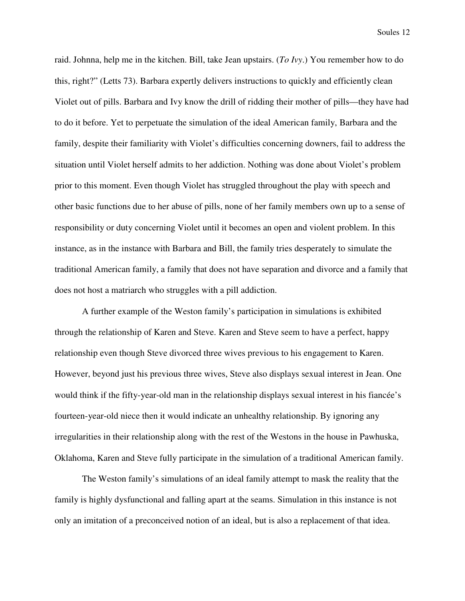raid. Johnna, help me in the kitchen. Bill, take Jean upstairs. (*To Ivy*.) You remember how to do this, right?" (Letts 73). Barbara expertly delivers instructions to quickly and efficiently clean Violet out of pills. Barbara and Ivy know the drill of ridding their mother of pills—they have had to do it before. Yet to perpetuate the simulation of the ideal American family, Barbara and the family, despite their familiarity with Violet's difficulties concerning downers, fail to address the situation until Violet herself admits to her addiction. Nothing was done about Violet's problem prior to this moment. Even though Violet has struggled throughout the play with speech and other basic functions due to her abuse of pills, none of her family members own up to a sense of responsibility or duty concerning Violet until it becomes an open and violent problem. In this instance, as in the instance with Barbara and Bill, the family tries desperately to simulate the traditional American family, a family that does not have separation and divorce and a family that does not host a matriarch who struggles with a pill addiction.

 A further example of the Weston family's participation in simulations is exhibited through the relationship of Karen and Steve. Karen and Steve seem to have a perfect, happy relationship even though Steve divorced three wives previous to his engagement to Karen. However, beyond just his previous three wives, Steve also displays sexual interest in Jean. One would think if the fifty-year-old man in the relationship displays sexual interest in his fiancée's fourteen-year-old niece then it would indicate an unhealthy relationship. By ignoring any irregularities in their relationship along with the rest of the Westons in the house in Pawhuska, Oklahoma, Karen and Steve fully participate in the simulation of a traditional American family.

 The Weston family's simulations of an ideal family attempt to mask the reality that the family is highly dysfunctional and falling apart at the seams. Simulation in this instance is not only an imitation of a preconceived notion of an ideal, but is also a replacement of that idea.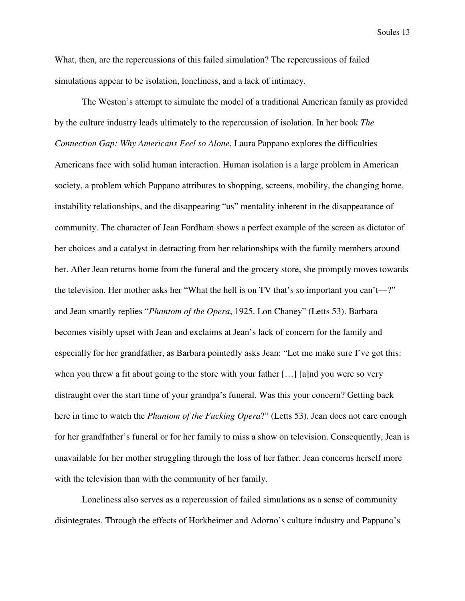What, then, are the repercussions of this failed simulation? The repercussions of failed simulations appear to be isolation, loneliness, and a lack of intimacy.

 The Weston's attempt to simulate the model of a traditional American family as provided by the culture industry leads ultimately to the repercussion of isolation. In her book *The Connection Gap: Why Americans Feel so Alone*, Laura Pappano explores the difficulties Americans face with solid human interaction. Human isolation is a large problem in American society, a problem which Pappano attributes to shopping, screens, mobility, the changing home, instability relationships, and the disappearing "us" mentality inherent in the disappearance of community. The character of Jean Fordham shows a perfect example of the screen as dictator of her choices and a catalyst in detracting from her relationships with the family members around her. After Jean returns home from the funeral and the grocery store, she promptly moves towards the television. Her mother asks her "What the hell is on TV that's so important you can't—?" and Jean smartly replies "*Phantom of the Opera*, 1925. Lon Chaney" (Letts 53). Barbara becomes visibly upset with Jean and exclaims at Jean's lack of concern for the family and especially for her grandfather, as Barbara pointedly asks Jean: "Let me make sure I've got this: when you threw a fit about going to the store with your father […] [a]nd you were so very distraught over the start time of your grandpa's funeral. Was this your concern? Getting back here in time to watch the *Phantom of the Fucking Opera*?" (Letts 53). Jean does not care enough for her grandfather's funeral or for her family to miss a show on television. Consequently, Jean is unavailable for her mother struggling through the loss of her father. Jean concerns herself more with the television than with the community of her family.

 Loneliness also serves as a repercussion of failed simulations as a sense of community disintegrates. Through the effects of Horkheimer and Adorno's culture industry and Pappano's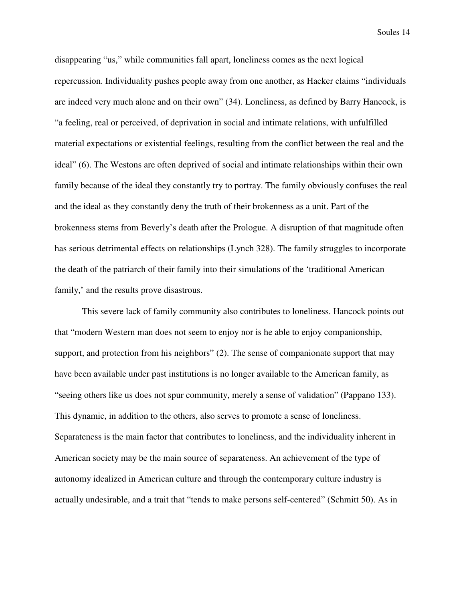disappearing "us," while communities fall apart, loneliness comes as the next logical repercussion. Individuality pushes people away from one another, as Hacker claims "individuals are indeed very much alone and on their own" (34). Loneliness, as defined by Barry Hancock, is "a feeling, real or perceived, of deprivation in social and intimate relations, with unfulfilled material expectations or existential feelings, resulting from the conflict between the real and the ideal" (6). The Westons are often deprived of social and intimate relationships within their own family because of the ideal they constantly try to portray. The family obviously confuses the real and the ideal as they constantly deny the truth of their brokenness as a unit. Part of the brokenness stems from Beverly's death after the Prologue. A disruption of that magnitude often has serious detrimental effects on relationships (Lynch 328). The family struggles to incorporate the death of the patriarch of their family into their simulations of the 'traditional American family,' and the results prove disastrous.

This severe lack of family community also contributes to loneliness. Hancock points out that "modern Western man does not seem to enjoy nor is he able to enjoy companionship, support, and protection from his neighbors" (2). The sense of companionate support that may have been available under past institutions is no longer available to the American family, as "seeing others like us does not spur community, merely a sense of validation" (Pappano 133). This dynamic, in addition to the others, also serves to promote a sense of loneliness. Separateness is the main factor that contributes to loneliness, and the individuality inherent in American society may be the main source of separateness. An achievement of the type of autonomy idealized in American culture and through the contemporary culture industry is actually undesirable, and a trait that "tends to make persons self-centered" (Schmitt 50). As in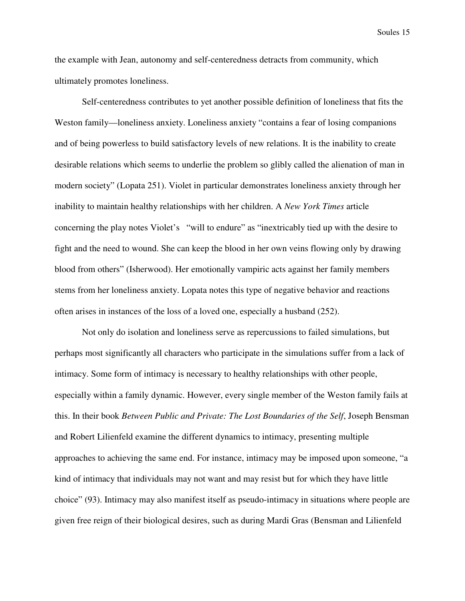the example with Jean, autonomy and self-centeredness detracts from community, which ultimately promotes loneliness.

Self-centeredness contributes to yet another possible definition of loneliness that fits the Weston family—loneliness anxiety. Loneliness anxiety "contains a fear of losing companions and of being powerless to build satisfactory levels of new relations. It is the inability to create desirable relations which seems to underlie the problem so glibly called the alienation of man in modern society" (Lopata 251). Violet in particular demonstrates loneliness anxiety through her inability to maintain healthy relationships with her children. A *New York Times* article concerning the play notes Violet's "will to endure" as "inextricably tied up with the desire to fight and the need to wound. She can keep the blood in her own veins flowing only by drawing blood from others" (Isherwood). Her emotionally vampiric acts against her family members stems from her loneliness anxiety. Lopata notes this type of negative behavior and reactions often arises in instances of the loss of a loved one, especially a husband (252).

Not only do isolation and loneliness serve as repercussions to failed simulations, but perhaps most significantly all characters who participate in the simulations suffer from a lack of intimacy. Some form of intimacy is necessary to healthy relationships with other people, especially within a family dynamic. However, every single member of the Weston family fails at this. In their book *Between Public and Private: The Lost Boundaries of the Self*, Joseph Bensman and Robert Lilienfeld examine the different dynamics to intimacy, presenting multiple approaches to achieving the same end. For instance, intimacy may be imposed upon someone, "a kind of intimacy that individuals may not want and may resist but for which they have little choice" (93). Intimacy may also manifest itself as pseudo-intimacy in situations where people are given free reign of their biological desires, such as during Mardi Gras (Bensman and Lilienfeld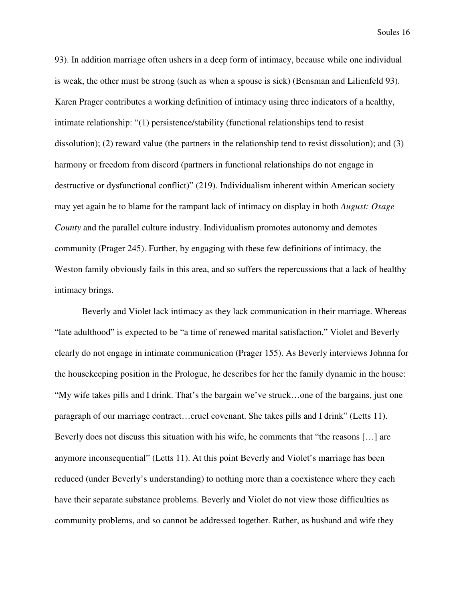93). In addition marriage often ushers in a deep form of intimacy, because while one individual is weak, the other must be strong (such as when a spouse is sick) (Bensman and Lilienfeld 93). Karen Prager contributes a working definition of intimacy using three indicators of a healthy, intimate relationship: "(1) persistence/stability (functional relationships tend to resist dissolution); (2) reward value (the partners in the relationship tend to resist dissolution); and (3) harmony or freedom from discord (partners in functional relationships do not engage in destructive or dysfunctional conflict)" (219). Individualism inherent within American society may yet again be to blame for the rampant lack of intimacy on display in both *August: Osage County* and the parallel culture industry. Individualism promotes autonomy and demotes community (Prager 245). Further, by engaging with these few definitions of intimacy, the Weston family obviously fails in this area, and so suffers the repercussions that a lack of healthy intimacy brings.

Beverly and Violet lack intimacy as they lack communication in their marriage. Whereas "late adulthood" is expected to be "a time of renewed marital satisfaction," Violet and Beverly clearly do not engage in intimate communication (Prager 155). As Beverly interviews Johnna for the housekeeping position in the Prologue, he describes for her the family dynamic in the house: "My wife takes pills and I drink. That's the bargain we've struck…one of the bargains, just one paragraph of our marriage contract…cruel covenant. She takes pills and I drink" (Letts 11). Beverly does not discuss this situation with his wife, he comments that "the reasons […] are anymore inconsequential" (Letts 11). At this point Beverly and Violet's marriage has been reduced (under Beverly's understanding) to nothing more than a coexistence where they each have their separate substance problems. Beverly and Violet do not view those difficulties as community problems, and so cannot be addressed together. Rather, as husband and wife they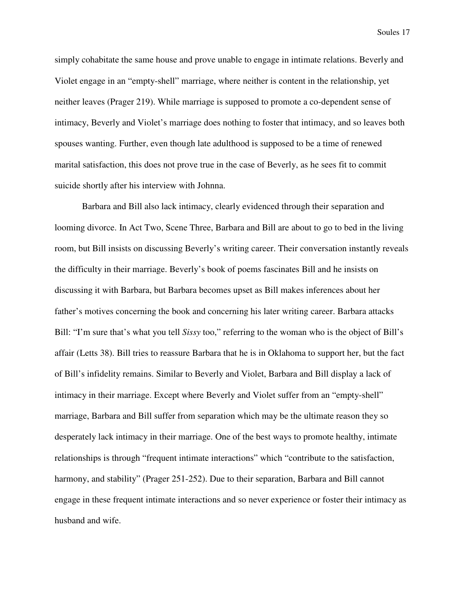simply cohabitate the same house and prove unable to engage in intimate relations. Beverly and Violet engage in an "empty-shell" marriage, where neither is content in the relationship, yet neither leaves (Prager 219). While marriage is supposed to promote a co-dependent sense of intimacy, Beverly and Violet's marriage does nothing to foster that intimacy, and so leaves both spouses wanting. Further, even though late adulthood is supposed to be a time of renewed marital satisfaction, this does not prove true in the case of Beverly, as he sees fit to commit suicide shortly after his interview with Johnna.

 Barbara and Bill also lack intimacy, clearly evidenced through their separation and looming divorce. In Act Two, Scene Three, Barbara and Bill are about to go to bed in the living room, but Bill insists on discussing Beverly's writing career. Their conversation instantly reveals the difficulty in their marriage. Beverly's book of poems fascinates Bill and he insists on discussing it with Barbara, but Barbara becomes upset as Bill makes inferences about her father's motives concerning the book and concerning his later writing career. Barbara attacks Bill: "I'm sure that's what you tell *Sissy* too," referring to the woman who is the object of Bill's affair (Letts 38). Bill tries to reassure Barbara that he is in Oklahoma to support her, but the fact of Bill's infidelity remains. Similar to Beverly and Violet, Barbara and Bill display a lack of intimacy in their marriage. Except where Beverly and Violet suffer from an "empty-shell" marriage, Barbara and Bill suffer from separation which may be the ultimate reason they so desperately lack intimacy in their marriage. One of the best ways to promote healthy, intimate relationships is through "frequent intimate interactions" which "contribute to the satisfaction, harmony, and stability" (Prager 251-252). Due to their separation, Barbara and Bill cannot engage in these frequent intimate interactions and so never experience or foster their intimacy as husband and wife.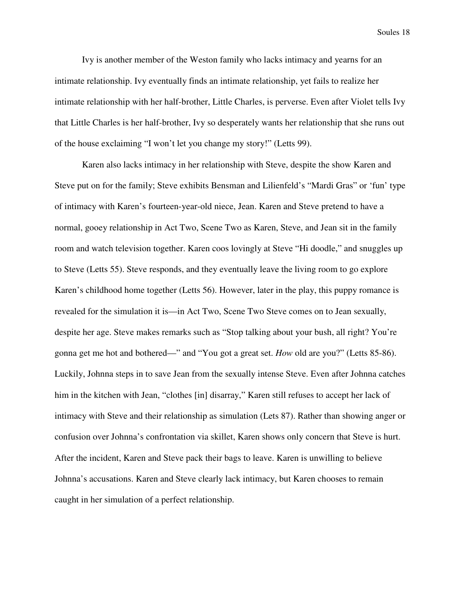Ivy is another member of the Weston family who lacks intimacy and yearns for an intimate relationship. Ivy eventually finds an intimate relationship, yet fails to realize her intimate relationship with her half-brother, Little Charles, is perverse. Even after Violet tells Ivy that Little Charles is her half-brother, Ivy so desperately wants her relationship that she runs out of the house exclaiming "I won't let you change my story!" (Letts 99).

 Karen also lacks intimacy in her relationship with Steve, despite the show Karen and Steve put on for the family; Steve exhibits Bensman and Lilienfeld's "Mardi Gras" or 'fun' type of intimacy with Karen's fourteen-year-old niece, Jean. Karen and Steve pretend to have a normal, gooey relationship in Act Two, Scene Two as Karen, Steve, and Jean sit in the family room and watch television together. Karen coos lovingly at Steve "Hi doodle," and snuggles up to Steve (Letts 55). Steve responds, and they eventually leave the living room to go explore Karen's childhood home together (Letts 56). However, later in the play, this puppy romance is revealed for the simulation it is—in Act Two, Scene Two Steve comes on to Jean sexually, despite her age. Steve makes remarks such as "Stop talking about your bush, all right? You're gonna get me hot and bothered—" and "You got a great set. *How* old are you?" (Letts 85-86). Luckily, Johnna steps in to save Jean from the sexually intense Steve. Even after Johnna catches him in the kitchen with Jean, "clothes [in] disarray," Karen still refuses to accept her lack of intimacy with Steve and their relationship as simulation (Lets 87). Rather than showing anger or confusion over Johnna's confrontation via skillet, Karen shows only concern that Steve is hurt. After the incident, Karen and Steve pack their bags to leave. Karen is unwilling to believe Johnna's accusations. Karen and Steve clearly lack intimacy, but Karen chooses to remain caught in her simulation of a perfect relationship.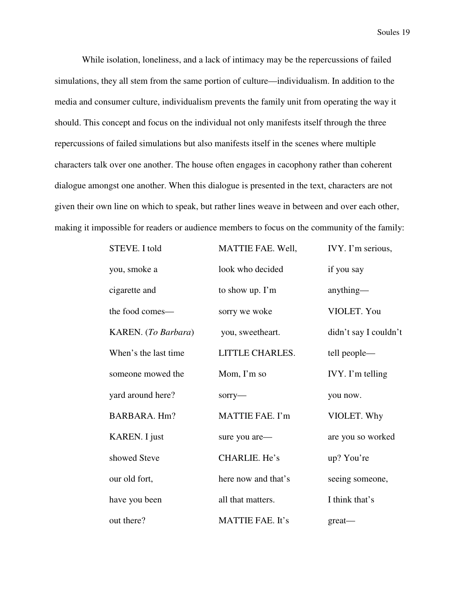While isolation, loneliness, and a lack of intimacy may be the repercussions of failed simulations, they all stem from the same portion of culture—individualism. In addition to the media and consumer culture, individualism prevents the family unit from operating the way it should. This concept and focus on the individual not only manifests itself through the three repercussions of failed simulations but also manifests itself in the scenes where multiple characters talk over one another. The house often engages in cacophony rather than coherent dialogue amongst one another. When this dialogue is presented in the text, characters are not given their own line on which to speak, but rather lines weave in between and over each other, making it impossible for readers or audience members to focus on the community of the family:

| STEVE. I told        | MATTIE FAE. Well,       | IVY. I'm serious,     |
|----------------------|-------------------------|-----------------------|
| you, smoke a         | look who decided        | if you say            |
| cigarette and        | to show up. I'm         | anything-             |
| the food comes—      | sorry we woke           | VIOLET. You           |
| KAREN. (To Barbara)  | you, sweetheart.        | didn't say I couldn't |
| When's the last time | LITTLE CHARLES.         | tell people—          |
| someone mowed the    | Mom, I'm so             | IVY. I'm telling      |
| yard around here?    | sorry-                  | you now.              |
| BARBARA. Hm?         | MATTIE FAE. I'm         | VIOLET. Why           |
| KAREN. I just        | sure you are-           | are you so worked     |
| showed Steve         | CHARLIE. He's           | up? You're            |
| our old fort,        | here now and that's     | seeing someone,       |
| have you been        | all that matters.       | I think that's        |
| out there?           | <b>MATTIE FAE. It's</b> | $great$               |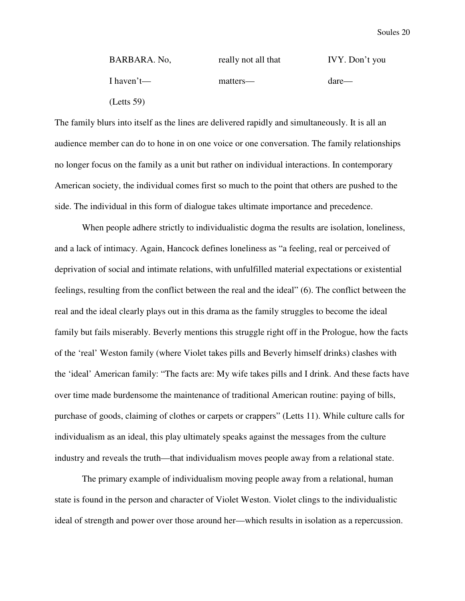| BARBARA. No. | really not all that | IVY. Don't you |
|--------------|---------------------|----------------|
| I haven't—   | matters—            | $dare$ —       |
| (Letts 59)   |                     |                |

The family blurs into itself as the lines are delivered rapidly and simultaneously. It is all an audience member can do to hone in on one voice or one conversation. The family relationships no longer focus on the family as a unit but rather on individual interactions. In contemporary American society, the individual comes first so much to the point that others are pushed to the side. The individual in this form of dialogue takes ultimate importance and precedence.

 When people adhere strictly to individualistic dogma the results are isolation, loneliness, and a lack of intimacy. Again, Hancock defines loneliness as "a feeling, real or perceived of deprivation of social and intimate relations, with unfulfilled material expectations or existential feelings, resulting from the conflict between the real and the ideal" (6). The conflict between the real and the ideal clearly plays out in this drama as the family struggles to become the ideal family but fails miserably. Beverly mentions this struggle right off in the Prologue, how the facts of the 'real' Weston family (where Violet takes pills and Beverly himself drinks) clashes with the 'ideal' American family: "The facts are: My wife takes pills and I drink. And these facts have over time made burdensome the maintenance of traditional American routine: paying of bills, purchase of goods, claiming of clothes or carpets or crappers" (Letts 11). While culture calls for individualism as an ideal, this play ultimately speaks against the messages from the culture industry and reveals the truth—that individualism moves people away from a relational state.

 The primary example of individualism moving people away from a relational, human state is found in the person and character of Violet Weston. Violet clings to the individualistic ideal of strength and power over those around her—which results in isolation as a repercussion.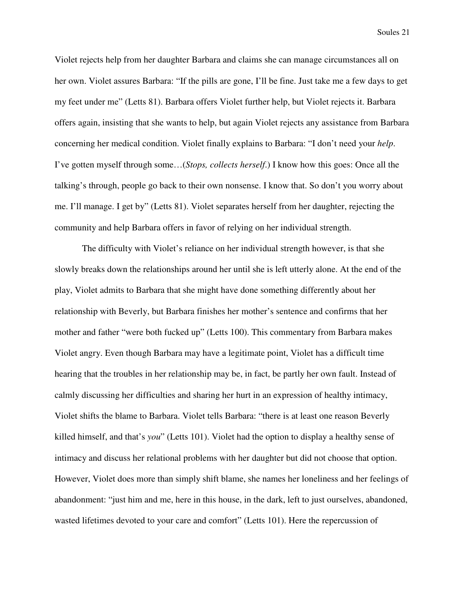Violet rejects help from her daughter Barbara and claims she can manage circumstances all on her own. Violet assures Barbara: "If the pills are gone, I'll be fine. Just take me a few days to get my feet under me" (Letts 81). Barbara offers Violet further help, but Violet rejects it. Barbara offers again, insisting that she wants to help, but again Violet rejects any assistance from Barbara concerning her medical condition. Violet finally explains to Barbara: "I don't need your *help*. I've gotten myself through some…(*Stops, collects herself*.) I know how this goes: Once all the talking's through, people go back to their own nonsense. I know that. So don't you worry about me. I'll manage. I get by" (Letts 81). Violet separates herself from her daughter, rejecting the community and help Barbara offers in favor of relying on her individual strength.

The difficulty with Violet's reliance on her individual strength however, is that she slowly breaks down the relationships around her until she is left utterly alone. At the end of the play, Violet admits to Barbara that she might have done something differently about her relationship with Beverly, but Barbara finishes her mother's sentence and confirms that her mother and father "were both fucked up" (Letts 100). This commentary from Barbara makes Violet angry. Even though Barbara may have a legitimate point, Violet has a difficult time hearing that the troubles in her relationship may be, in fact, be partly her own fault. Instead of calmly discussing her difficulties and sharing her hurt in an expression of healthy intimacy, Violet shifts the blame to Barbara. Violet tells Barbara: "there is at least one reason Beverly killed himself, and that's *you*" (Letts 101). Violet had the option to display a healthy sense of intimacy and discuss her relational problems with her daughter but did not choose that option. However, Violet does more than simply shift blame, she names her loneliness and her feelings of abandonment: "just him and me, here in this house, in the dark, left to just ourselves, abandoned, wasted lifetimes devoted to your care and comfort" (Letts 101). Here the repercussion of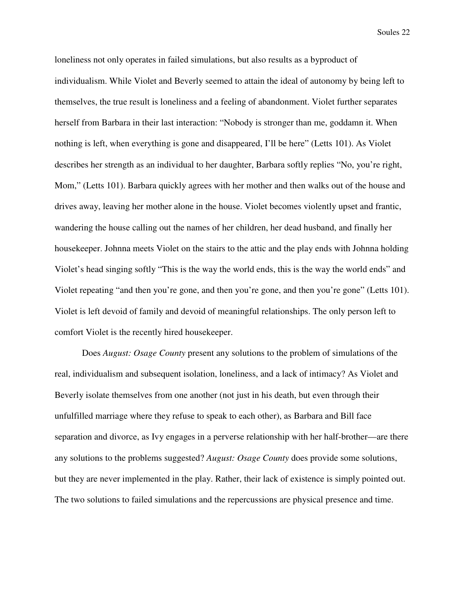loneliness not only operates in failed simulations, but also results as a byproduct of individualism. While Violet and Beverly seemed to attain the ideal of autonomy by being left to themselves, the true result is loneliness and a feeling of abandonment. Violet further separates herself from Barbara in their last interaction: "Nobody is stronger than me, goddamn it. When nothing is left, when everything is gone and disappeared, I'll be here" (Letts 101). As Violet describes her strength as an individual to her daughter, Barbara softly replies "No, you're right, Mom," (Letts 101). Barbara quickly agrees with her mother and then walks out of the house and drives away, leaving her mother alone in the house. Violet becomes violently upset and frantic, wandering the house calling out the names of her children, her dead husband, and finally her housekeeper. Johnna meets Violet on the stairs to the attic and the play ends with Johnna holding Violet's head singing softly "This is the way the world ends, this is the way the world ends" and Violet repeating "and then you're gone, and then you're gone, and then you're gone" (Letts 101). Violet is left devoid of family and devoid of meaningful relationships. The only person left to comfort Violet is the recently hired housekeeper.

 Does *August: Osage County* present any solutions to the problem of simulations of the real, individualism and subsequent isolation, loneliness, and a lack of intimacy? As Violet and Beverly isolate themselves from one another (not just in his death, but even through their unfulfilled marriage where they refuse to speak to each other), as Barbara and Bill face separation and divorce, as Ivy engages in a perverse relationship with her half-brother—are there any solutions to the problems suggested? *August: Osage County* does provide some solutions, but they are never implemented in the play. Rather, their lack of existence is simply pointed out. The two solutions to failed simulations and the repercussions are physical presence and time.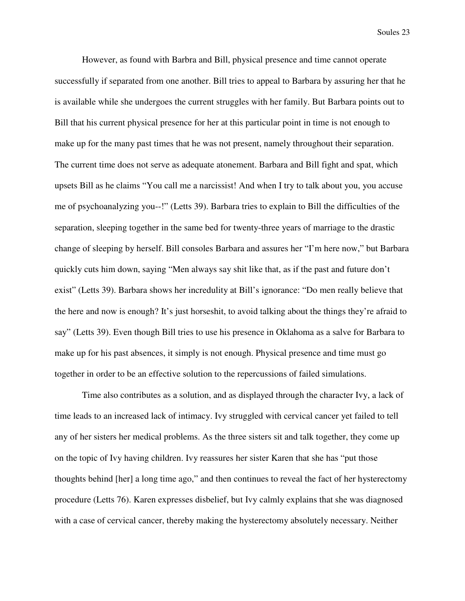However, as found with Barbra and Bill, physical presence and time cannot operate successfully if separated from one another. Bill tries to appeal to Barbara by assuring her that he is available while she undergoes the current struggles with her family. But Barbara points out to Bill that his current physical presence for her at this particular point in time is not enough to make up for the many past times that he was not present, namely throughout their separation. The current time does not serve as adequate atonement. Barbara and Bill fight and spat, which upsets Bill as he claims "You call me a narcissist! And when I try to talk about you, you accuse me of psychoanalyzing you--!" (Letts 39). Barbara tries to explain to Bill the difficulties of the separation, sleeping together in the same bed for twenty-three years of marriage to the drastic change of sleeping by herself. Bill consoles Barbara and assures her "I'm here now," but Barbara quickly cuts him down, saying "Men always say shit like that, as if the past and future don't exist" (Letts 39). Barbara shows her incredulity at Bill's ignorance: "Do men really believe that the here and now is enough? It's just horseshit, to avoid talking about the things they're afraid to say" (Letts 39). Even though Bill tries to use his presence in Oklahoma as a salve for Barbara to make up for his past absences, it simply is not enough. Physical presence and time must go together in order to be an effective solution to the repercussions of failed simulations.

 Time also contributes as a solution, and as displayed through the character Ivy, a lack of time leads to an increased lack of intimacy. Ivy struggled with cervical cancer yet failed to tell any of her sisters her medical problems. As the three sisters sit and talk together, they come up on the topic of Ivy having children. Ivy reassures her sister Karen that she has "put those thoughts behind [her] a long time ago," and then continues to reveal the fact of her hysterectomy procedure (Letts 76). Karen expresses disbelief, but Ivy calmly explains that she was diagnosed with a case of cervical cancer, thereby making the hysterectomy absolutely necessary. Neither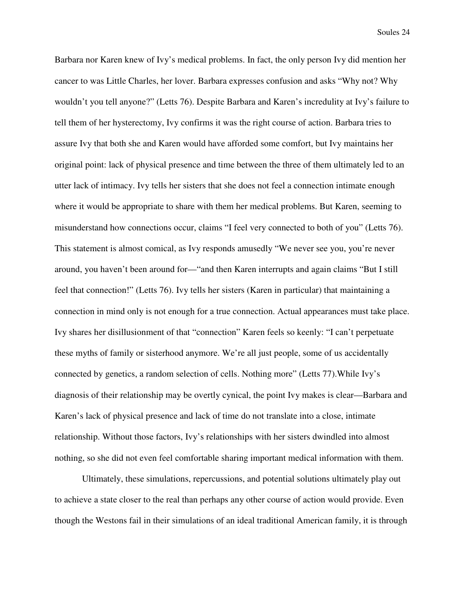Barbara nor Karen knew of Ivy's medical problems. In fact, the only person Ivy did mention her cancer to was Little Charles, her lover. Barbara expresses confusion and asks "Why not? Why wouldn't you tell anyone?" (Letts 76). Despite Barbara and Karen's incredulity at Ivy's failure to tell them of her hysterectomy, Ivy confirms it was the right course of action. Barbara tries to assure Ivy that both she and Karen would have afforded some comfort, but Ivy maintains her original point: lack of physical presence and time between the three of them ultimately led to an utter lack of intimacy. Ivy tells her sisters that she does not feel a connection intimate enough where it would be appropriate to share with them her medical problems. But Karen, seeming to misunderstand how connections occur, claims "I feel very connected to both of you" (Letts 76). This statement is almost comical, as Ivy responds amusedly "We never see you, you're never around, you haven't been around for—"and then Karen interrupts and again claims "But I still feel that connection!" (Letts 76). Ivy tells her sisters (Karen in particular) that maintaining a connection in mind only is not enough for a true connection. Actual appearances must take place. Ivy shares her disillusionment of that "connection" Karen feels so keenly: "I can't perpetuate these myths of family or sisterhood anymore. We're all just people, some of us accidentally connected by genetics, a random selection of cells. Nothing more" (Letts 77).While Ivy's diagnosis of their relationship may be overtly cynical, the point Ivy makes is clear—Barbara and Karen's lack of physical presence and lack of time do not translate into a close, intimate relationship. Without those factors, Ivy's relationships with her sisters dwindled into almost nothing, so she did not even feel comfortable sharing important medical information with them.

 Ultimately, these simulations, repercussions, and potential solutions ultimately play out to achieve a state closer to the real than perhaps any other course of action would provide. Even though the Westons fail in their simulations of an ideal traditional American family, it is through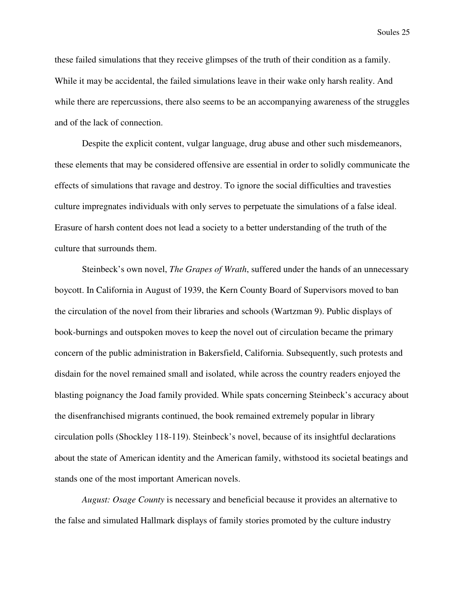these failed simulations that they receive glimpses of the truth of their condition as a family. While it may be accidental, the failed simulations leave in their wake only harsh reality. And while there are repercussions, there also seems to be an accompanying awareness of the struggles and of the lack of connection.

 Despite the explicit content, vulgar language, drug abuse and other such misdemeanors, these elements that may be considered offensive are essential in order to solidly communicate the effects of simulations that ravage and destroy. To ignore the social difficulties and travesties culture impregnates individuals with only serves to perpetuate the simulations of a false ideal. Erasure of harsh content does not lead a society to a better understanding of the truth of the culture that surrounds them.

 Steinbeck's own novel, *The Grapes of Wrath*, suffered under the hands of an unnecessary boycott. In California in August of 1939, the Kern County Board of Supervisors moved to ban the circulation of the novel from their libraries and schools (Wartzman 9). Public displays of book-burnings and outspoken moves to keep the novel out of circulation became the primary concern of the public administration in Bakersfield, California. Subsequently, such protests and disdain for the novel remained small and isolated, while across the country readers enjoyed the blasting poignancy the Joad family provided. While spats concerning Steinbeck's accuracy about the disenfranchised migrants continued, the book remained extremely popular in library circulation polls (Shockley 118-119). Steinbeck's novel, because of its insightful declarations about the state of American identity and the American family, withstood its societal beatings and stands one of the most important American novels.

*August: Osage County* is necessary and beneficial because it provides an alternative to the false and simulated Hallmark displays of family stories promoted by the culture industry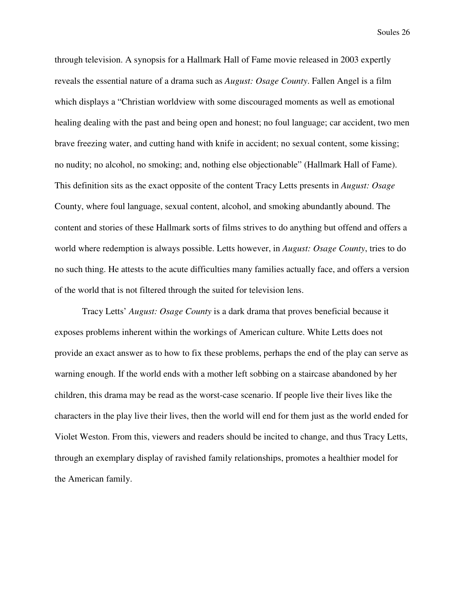through television. A synopsis for a Hallmark Hall of Fame movie released in 2003 expertly reveals the essential nature of a drama such as *August: Osage County*. Fallen Angel is a film which displays a "Christian worldview with some discouraged moments as well as emotional healing dealing with the past and being open and honest; no foul language; car accident, two men brave freezing water, and cutting hand with knife in accident; no sexual content, some kissing; no nudity; no alcohol, no smoking; and, nothing else objectionable" (Hallmark Hall of Fame). This definition sits as the exact opposite of the content Tracy Letts presents in *August: Osage*  County, where foul language, sexual content, alcohol, and smoking abundantly abound. The content and stories of these Hallmark sorts of films strives to do anything but offend and offers a world where redemption is always possible. Letts however, in *August: Osage County*, tries to do no such thing. He attests to the acute difficulties many families actually face, and offers a version of the world that is not filtered through the suited for television lens.

 Tracy Letts' *August: Osage County* is a dark drama that proves beneficial because it exposes problems inherent within the workings of American culture. White Letts does not provide an exact answer as to how to fix these problems, perhaps the end of the play can serve as warning enough. If the world ends with a mother left sobbing on a staircase abandoned by her children, this drama may be read as the worst-case scenario. If people live their lives like the characters in the play live their lives, then the world will end for them just as the world ended for Violet Weston. From this, viewers and readers should be incited to change, and thus Tracy Letts, through an exemplary display of ravished family relationships, promotes a healthier model for the American family.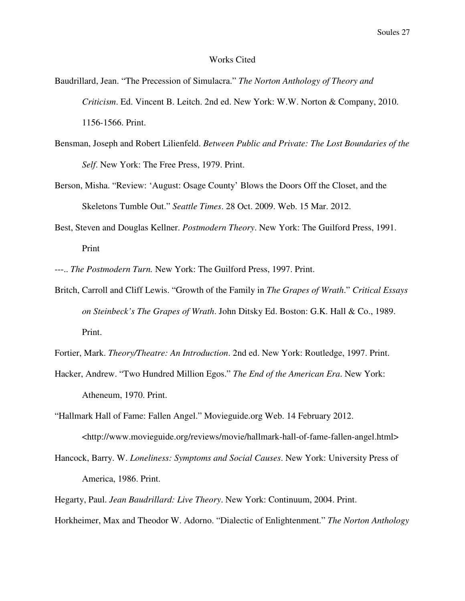## Works Cited

Baudrillard, Jean. "The Precession of Simulacra." *The Norton Anthology of Theory and Criticism*. Ed. Vincent B. Leitch. 2nd ed. New York: W.W. Norton & Company, 2010. 1156-1566. Print.

- Bensman, Joseph and Robert Lilienfeld. *Between Public and Private: The Lost Boundaries of the Self*. New York: The Free Press, 1979. Print.
- Berson, Misha. "Review: 'August: Osage County' Blows the Doors Off the Closet, and the Skeletons Tumble Out." *Seattle Times*. 28 Oct. 2009. Web. 15 Mar. 2012.
- Best, Steven and Douglas Kellner. *Postmodern Theory*. New York: The Guilford Press, 1991. Print

---.. *The Postmodern Turn.* New York: The Guilford Press, 1997. Print.

Britch, Carroll and Cliff Lewis. "Growth of the Family in *The Grapes of Wrath*." *Critical Essays on Steinbeck's The Grapes of Wrath*. John Ditsky Ed. Boston: G.K. Hall & Co., 1989. Print.

Fortier, Mark. *Theory/Theatre: An Introduction*. 2nd ed. New York: Routledge, 1997. Print.

Hacker, Andrew. "Two Hundred Million Egos." *The End of the American Era*. New York: Atheneum, 1970. Print.

"Hallmark Hall of Fame: Fallen Angel." Movieguide.org Web. 14 February 2012. <http://www.movieguide.org/reviews/movie/hallmark-hall-of-fame-fallen-angel.html>

Hancock, Barry. W. *Loneliness: Symptoms and Social Causes*. New York: University Press of America, 1986. Print.

Hegarty, Paul. *Jean Baudrillard: Live Theory*. New York: Continuum, 2004. Print.

Horkheimer, Max and Theodor W. Adorno. "Dialectic of Enlightenment." *The Norton Anthology*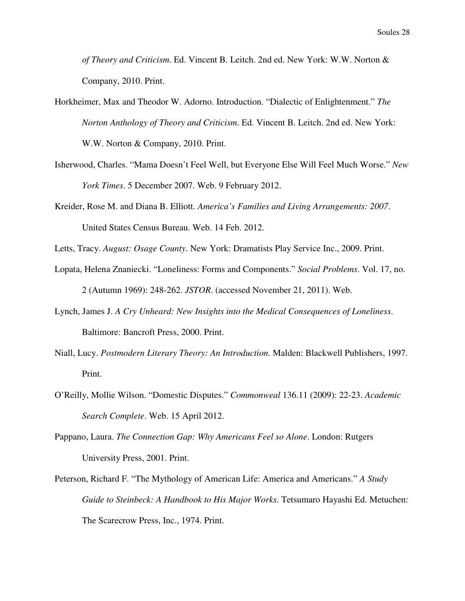*of Theory and Criticism*. Ed. Vincent B. Leitch. 2nd ed. New York: W.W. Norton & Company, 2010. Print.

- Horkheimer, Max and Theodor W. Adorno. Introduction. "Dialectic of Enlightenment." *The Norton Anthology of Theory and Criticism*. Ed. Vincent B. Leitch. 2nd ed. New York: W.W. Norton & Company, 2010. Print.
- Isherwood, Charles. "Mama Doesn't Feel Well, but Everyone Else Will Feel Much Worse." *New York Times*. 5 December 2007. Web. 9 February 2012.
- Kreider, Rose M. and Diana B. Elliott. *America's Families and Living Arrangements: 2007*. United States Census Bureau. Web. 14 Feb. 2012.
- Letts, Tracy. *August: Osage County*. New York: Dramatists Play Service Inc., 2009. Print.
- Lopata, Helena Znaniecki. "Loneliness: Forms and Components." *Social Problems*. Vol. 17, no. 2 (Autumn 1969): 248-262. *JSTOR*. (accessed November 21, 2011). Web.
- Lynch, James J. *A Cry Unheard: New Insights into the Medical Consequences of Loneliness*. Baltimore: Bancroft Press, 2000. Print.
- Niall, Lucy. *Postmodern Literary Theory: An Introduction.* Malden: Blackwell Publishers, 1997. Print.
- O'Reilly, Mollie Wilson. "Domestic Disputes." *Commonweal* 136.11 (2009): 22-23. *Academic Search Complete*. Web. 15 April 2012.
- Pappano, Laura. *The Connection Gap: Why Americans Feel so Alone*. London: Rutgers University Press, 2001. Print.
- Peterson, Richard F. "The Mythology of American Life: America and Americans." *A Study Guide to Steinbeck: A Handbook to His Major Works*. Tetsumaro Hayashi Ed. Metuchen: The Scarecrow Press, Inc., 1974. Print.